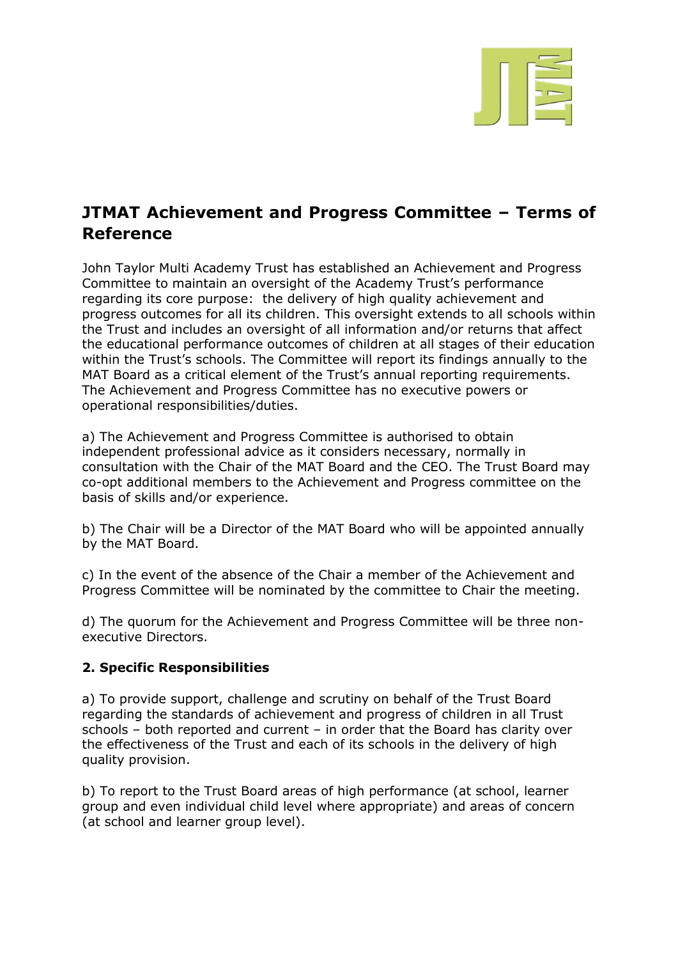

## **JTMAT Achievement and Progress Committee – Terms of Reference**

John Taylor Multi Academy Trust has established an Achievement and Progress Committee to maintain an oversight of the Academy Trust's performance regarding its core purpose: the delivery of high quality achievement and progress outcomes for all its children. This oversight extends to all schools within the Trust and includes an oversight of all information and/or returns that affect the educational performance outcomes of children at all stages of their education within the Trust's schools. The Committee will report its findings annually to the MAT Board as a critical element of the Trust's annual reporting requirements. The Achievement and Progress Committee has no executive powers or operational responsibilities/duties.

a) The Achievement and Progress Committee is authorised to obtain independent professional advice as it considers necessary, normally in consultation with the Chair of the MAT Board and the CEO. The Trust Board may co-opt additional members to the Achievement and Progress committee on the basis of skills and/or experience.

b) The Chair will be a Director of the MAT Board who will be appointed annually by the MAT Board.

c) In the event of the absence of the Chair a member of the Achievement and Progress Committee will be nominated by the committee to Chair the meeting.

d) The quorum for the Achievement and Progress Committee will be three nonexecutive Directors.

## **2. Specific Responsibilities**

a) To provide support, challenge and scrutiny on behalf of the Trust Board regarding the standards of achievement and progress of children in all Trust schools – both reported and current – in order that the Board has clarity over the effectiveness of the Trust and each of its schools in the delivery of high quality provision.

b) To report to the Trust Board areas of high performance (at school, learner group and even individual child level where appropriate) and areas of concern (at school and learner group level).